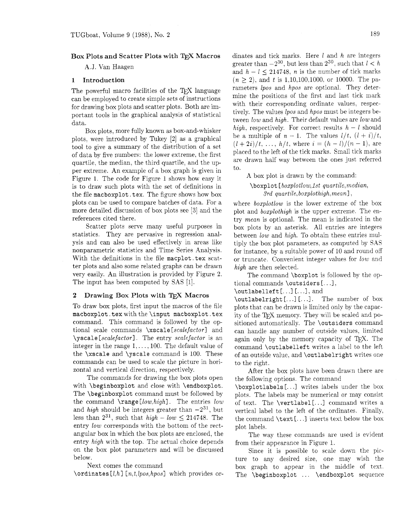### Box Plots and Scatter Plots with TFX Macros

A. J. Van Haagen

## **1** Introduction

The powerful macro facilities of the T<sub>F</sub>X language can be employed to create simple sets of instructions for drawing box plots and scatter plots. Both are important tools in the graphical analysis of statistical data.

Box plots. more fully known as box-and-whisker plots, were introduced by Tukey [2] as a graphical tool to give a summary of the distribution of a set of data by five numbers: the lower extreme, the first quartile. the median. the third quartile. and the upper extreme. An example of a box graph is given in Figure 1. The code for Figure *1* shows how easy it is to draw such plots with the set of definitions in the file **macboxplot** . **tex.** The figure shows how box plots can be used to compare batches of data. For a more detailed discussion of box plots see **[3]** and the references cited there.

Scatter plots serve many useful purposes in statistics. They are pervasive in regression analysis and can also be used effectively in areas like nonparametric statistics and Time Series Anaiysis. With the definitions in the file **macplot. tex** scatter plots and also some related graphs can be drawn very easily. An illustration is provided by Figure *2.*  The input has been computed by SAS *[I].* 

### 2 Drawing Box Plots with TEX Macros

To draw box plots, first input the macros of the file **macboxplot** . **tex** with the **\input macboxplot** . **tex**  command. This command is followed by the optional scale commands **\xscale** *[scalefactorl* and **\yscale** *[scalefactorl.* The entry *scalefactor* is an integer in the range *1,.* . . *,100.* The default value of the **\xscale** and **\yscale** command is *100.* These commands can be used to scale the picture in horizontal and vertical direction. respectively.

The commands for drawing the box plots open with **\beginboxplot** and close with **\endboxplot.**  The **\beginboxplot** command must be followed by the command **\range** *[low.highl* . The entries *low*  and *high* should be integers greater than  $-2^{31}$ , but less than  $2^{31}$ , such that  $high - low \leq 214748$ . The entry *low* corresponds with the bottom of the rectangular box in which the box plots are enclosed. the entry *high* with the top. The actual choice depends on the box plot parameters and will be discussed below.

#### Next comes the command

**\ordinates** *[Lhl [n, t, lpos, hpos]* which provides or-

dinates and tick marks. Here *1* and *h* are integers greater than  $-2^{30}$ , but less than  $2^{30}$ , such that  $l \lt h$ and  $h - l \leq 214748$ , *n* is the number of tick marks  $(n \geq 2)$ , and *t* is 1,10,100,1000, or 10000. The parameters *lpos* and *hpos* are optional. They determine the positions of the first and last tick mark with their corresponding ordinate values, respectively. The values *lpos* and *hpos* must be integers between *low* and *high*. Their default values are *low* and *high, respectively. For correct results*  $h - l$  *should* be a multiple of  $n-1$ . The values  $l/t$ ,  $(l+i)/t$ ,  $(l + 2i)/t$ , ...,  $h/t$ , where  $i = (h - l)/(n - 1)$ , are placed to the left of the tick marks. Small tick marks are drawn half way between the ones just referred to.

A box plot is drawn by the command:

# \boxplot [boxplotlow.1st quartile.median. *3rd quartale, boxplothzgh, mean]* ,

where *boxplotlow* is the lower extreme of the box plot and *boxplothigh* is the upper extreme. The entry *mean* is optional. The mean is indicated in the box plots by an asterisk. All entries are integers between *low* and *high*. To obtain these entries multiply the box plot parameters, as computed by SAS for instance. by a suitable power of *10* and round off or truncate. Convenient integer values for *low* and *high* are then selected.

The command **\boxplot** is followed by the optional commands **\outsiders** C. . *.I,* 

\outlabelleft[...][...], and<br>\outlabelright[...][...]. The number of box  $\lceil \text{outlabelright} [\dots] [\dots].$ plots that can be drawn is limited only by the capacity of the T<sub>F</sub>X memory. They will be scaled and positioned automatically. The **\outsiders** command can handle any number of outside values, limited again only by the memory capacity of TFX. The command **\outlabelleft** writes a label to the left of an outside value, and **\outlabelrlght** writes one to the right.

After the box plots have been drawn there are the following options. The command

**\boxplotlabels** [. . *.I* writes labels under the box plots. The labels may be numerical or may consist of text. The **\vertlabel[.** . *.]* command writes a vertical label to the left of the ordinates. Finally, the command **\text** [. . .I inserts text below the box plot labels.

The way these commands are used is evident from their appearance in Figure *1.* 

Since it is possible to scale down the picture to any desired size. one may wish the box graph to appear in the middle of text. The **\beginboxplot** . . . **\endboxplot** sequence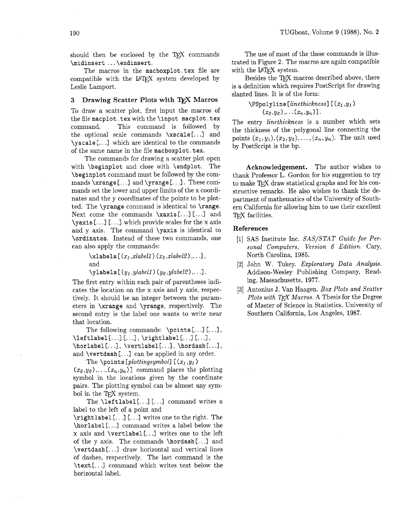should then be enclosed by the TEX commands \midinsert . . . \endinsert.

The macros in the macboxplot .tex file are compatible with the IAT<sub>RX</sub> system developed by Leslie Lamport.

## **3** Drawing Scatter Plots with T<sub>E</sub>X Macros

To draw a scatter plot. first input the macros of the file macplot . tex with the \input macplot . tex command. This command is followed by the optional scale commands \xscale [. . .I and \y scale [. . .I which are identical to the commands of the same name in the file macboxplot . tex.

The commands for drawing a scatter plot open with \beginplot and close with \endplot. The \beginplot command must be followed by the commands  $\xrightleftharpoons$  [...] and  $\yrightleftharpoons$  [...]. These commands set the lower and upper limits of the x coordinates and the y coordinates of the points to be plotted. The \yrange command is identical to \range. Next come the commands  $\x^{i}$ ... [...] and \yaxis [. . .I [. . .I which provide scales for the x axis and y axis. The command \yaxis is identical to \ordinates. Instead of these two commands, one can also apply the commands:

> $\lambda$ xlabels  $[(x_1, xlabel1)(x_2, xlabel2),...]$ and  $\ylabel{eq:1} \ylabel{eq:1} \ylabel{eq:1} \ylabel{eq:1} \ylabel{eq:1} \ylabel{eq:1} \ylabel{eq:1} \ylabel{eq:1} \ylabel{eq:1} \xspace$

The first entry within each pair of parentheses indicates the location on the x axis and y axis, respectively. It should be an integer between the parameters in \xrange and \yrange, respectively. The second entry is the label one wants to write near

that location. The following commands:  $\points$ [...][...],  $\left\{ \right.\right\}$   $\left[\dots\right], \right\}$  ,  $\left[\dots\right], \$  $\hbox{\tt \hbox{horlabel}[...]}$ ,  $\vert ...]$ ,  $\hbox{\tt \hbox{horlash}[...]}$ , and \vertdash[...] can be applied in any order.

The \points [plottingsymbol]  $[(x_1, y_1)]$  $(x_2,y_2),..., (x_n,y_n)]$  command places the plotting symbol in the locations given by the coordinate pairs. The plotting symbol can be almost any symbol in the T<sub>F</sub>X system.

The **\leftlabel[...][...]** command writes a label to the left of a point and

\rightlabel [. . .] [. . .I writes one to the right. The \horlabel[. . .I command writes a label below the x axis and \vertlabel [. . .I writes one to the left of the y axis. The commands \hordash [. . .I and \vertdash [. . .] draw horizontal and vertical lines of dashes, respectively. The last command is the \text [. . .I command which writes text below the horizontal label.

The use of most of the these commands is illustrated in Figure 2. The macros are again compatible with the IATRX system.

Besides the TFX macros described above, there is a definition which requires PostScript for drawing slanted lines. It is of the form:

> $\P$ Spolyline [linethickness] [ $(x_1, y_1)$ ]  $(x_2,y_2), \ldots (x_n,y_n)$ .

The entry *linethickness* is a number which sets the thickness of the polygonal line connecting the points  $(x_1, y_1), (x_2, y_2), \ldots, (x_n, y_n)$ . The unit used by PostScript is the bp.

Acknowledgement. The author wishes to thank Professor L. Gordon for his suggestion to try to make T<sub>F</sub>X draw statistical graphs and for his constructive remarks. He also wishes to thank the department of mathematics of the University of Southern California for allowing him to use their excellent TFX facilities.

# References

- [1] SAS Institute Inc. SAS/STAT Guide for Personal Computers, Version 6 Edition. Cary, North Carolina, 1985.
- [2] John W. Tukey. Exploratory Data Analysis. Addison-Wesley Publishing Company, Reading, Massachusetts, 1977.
- [3] Antonius J. Van Haagen. Box Plots and Scatter Plots with *TEX* Macros. A Thesis for the Degree of Master of Science in Statistics, University of Southern California, Los Angeles, 1987.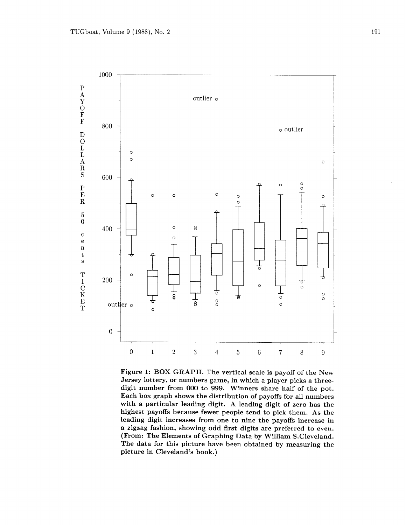

Figure 1: BOX GRAPH. The vertical scale is payoff of the New Jersey lottery, or numbers game, in which a player picks a threedigit number from 000 to 999. Winners share half of the pot. Each box graph shows the distribution of payoffs for all numbers with a particular leading digit. A leading digit of zero has the highest payoffs because fewer people tend to pick them. As the leading digit increases from one to nine the payoffs increase in a zigzag fashion, showing odd first digits are preferred to even. (From: The Elements of Graphing Data by William S.Cleveland. The data for this picture have been obtained by measuring the picture in Cleveland's book.)